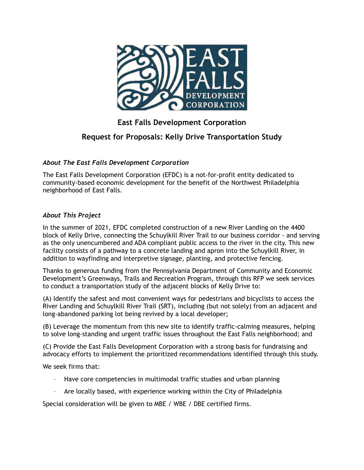

# **East Falls Development Corporation**

## **Request for Proposals: Kelly Drive Transportation Study**

## *About The East Falls Development Corporation*

The East Falls Development Corporation (EFDC) is a not-for-profit entity dedicated to community-based economic development for the benefit of the Northwest Philadelphia neighborhood of East Falls.

## *About This Project*

In the summer of 2021, EFDC completed construction of a new River Landing on the 4400 block of Kelly Drive, connecting the Schuylkill River Trail to our business corridor - and serving as the only unencumbered and ADA compliant public access to the river in the city. This new facility consists of a pathway to a concrete landing and apron into the Schuylkill River, in addition to wayfinding and interpretive signage, planting, and protective fencing.

Thanks to generous funding from the Pennsylvania Department of Community and Economic Development's Greenways, Trails and Recreation Program, through this RFP we seek services to conduct a transportation study of the adjacent blocks of Kelly Drive to:

(A) Identify the safest and most convenient ways for pedestrians and bicyclists to access the River Landing and Schuylkill River Trail (SRT), including (but not solely) from an adjacent and long-abandoned parking lot being revived by a local developer;

(B) Leverage the momentum from this new site to identify traffic-calming measures, helping to solve long-standing and urgent traffic issues throughout the East Falls neighborhood; and

(C) Provide the East Falls Development Corporation with a strong basis for fundraising and advocacy efforts to implement the prioritized recommendations identified through this study.

We seek firms that:

- Have core competencies in multimodal traffic studies and urban planning
- Are locally based, with experience working within the City of Philadelphia

Special consideration will be given to MBE / WBE / DBE certified firms.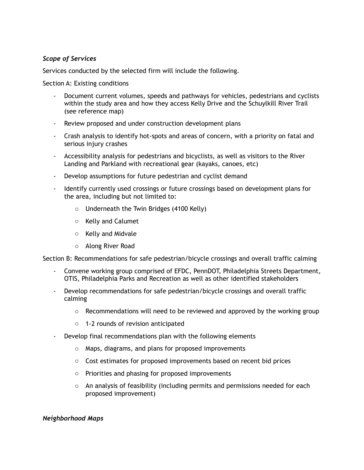## *Scope of Services*

Services conducted by the selected firm will include the following.

Section A: Existing conditions

- Document current volumes, speeds and pathways for vehicles, pedestrians and cyclists within the study area and how they access Kelly Drive and the Schuylkill River Trail (see reference map)
- Review proposed and under construction development plans
- Crash analysis to identify hot-spots and areas of concern, with a priority on fatal and serious injury crashes
- Accessibility analysis for pedestrians and bicyclists, as well as visitors to the River Landing and Parkland with recreational gear (kayaks, canoes, etc)
- Develop assumptions for future pedestrian and cyclist demand
- Identify currently used crossings or future crossings based on development plans for the area, including but not limited to:
	- o Underneath the Twin Bridges (4100 Kelly)
	- o Kelly and Calumet
	- o Kelly and Midvale
	- o Along River Road

Section B: Recommendations for safe pedestrian/bicycle crossings and overall traffic calming

- Convene working group comprised of EFDC, PennDOT, Philadelphia Streets Department, OTIS, Philadelphia Parks and Recreation as well as other identified stakeholders
- Develop recommendations for safe pedestrian/bicycle crossings and overall traffic calming
	- $\circ$  Recommendations will need to be reviewed and approved by the working group
	- o 1-2 rounds of revision anticipated
- Develop final recommendations plan with the following elements
	- o Maps, diagrams, and plans for proposed improvements
	- o Cost estimates for proposed improvements based on recent bid prices
	- o Priorities and phasing for proposed improvements
	- $\circ$  An analysis of feasibility (including permits and permissions needed for each proposed improvement)

#### *Neighborhood Maps*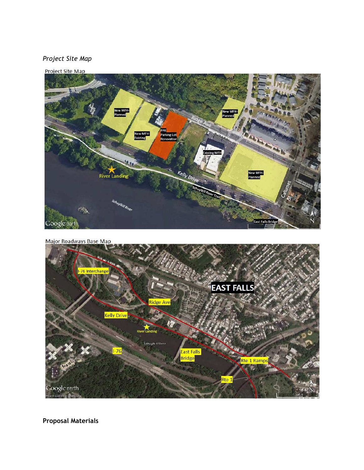## *Project Site Map*



```
Major Roadways Base Map
```


**Proposal Materials**